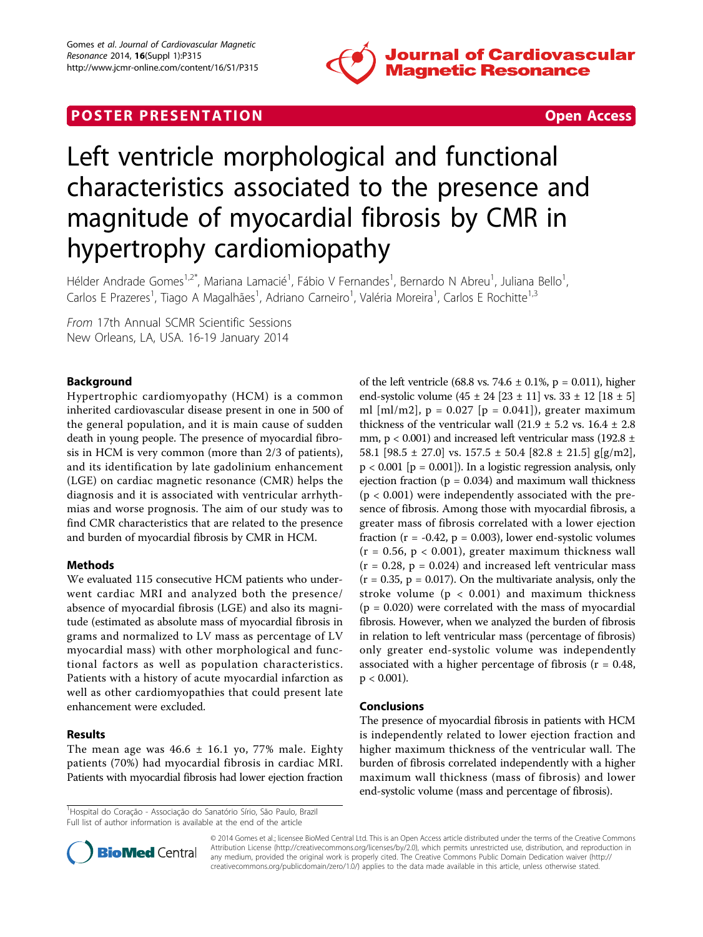

## **POSTER PRESENTATION CONSUMING THE SECOND CONSUMING THE SECOND CONSUMING THE SECOND CONSUMING THE SECOND CONSUMING THE SECOND CONSUMING THE SECOND CONSUMING THE SECOND CONSUMING THE SECOND CONSUMING THE SECOND CONSUMING**



# Left ventricle morphological and functional characteristics associated to the presence and magnitude of myocardial fibrosis by CMR in hypertrophy cardiomiopathy

Hélder Andrade Gomes<sup>1,2\*</sup>, Mariana Lamacié<sup>1</sup>, Fábio V Fernandes<sup>1</sup>, Bernardo N Abreu<sup>1</sup>, Juliana Bello<sup>1</sup> , Carlos E Prazeres<sup>1</sup>, Tiago A Magalhães<sup>1</sup>, Adriano Carneiro<sup>1</sup>, Valéria Moreira<sup>1</sup>, Carlos E Rochitte<sup>1,3</sup>

From 17th Annual SCMR Scientific Sessions New Orleans, LA, USA. 16-19 January 2014

### Background

Hypertrophic cardiomyopathy (HCM) is a common inherited cardiovascular disease present in one in 500 of the general population, and it is main cause of sudden death in young people. The presence of myocardial fibrosis in HCM is very common (more than 2/3 of patients), and its identification by late gadolinium enhancement (LGE) on cardiac magnetic resonance (CMR) helps the diagnosis and it is associated with ventricular arrhythmias and worse prognosis. The aim of our study was to find CMR characteristics that are related to the presence and burden of myocardial fibrosis by CMR in HCM.

#### Methods

We evaluated 115 consecutive HCM patients who underwent cardiac MRI and analyzed both the presence/ absence of myocardial fibrosis (LGE) and also its magnitude (estimated as absolute mass of myocardial fibrosis in grams and normalized to LV mass as percentage of LV myocardial mass) with other morphological and functional factors as well as population characteristics. Patients with a history of acute myocardial infarction as well as other cardiomyopathies that could present late enhancement were excluded.

#### Results

The mean age was  $46.6 \pm 16.1$  yo, 77% male. Eighty patients (70%) had myocardial fibrosis in cardiac MRI. Patients with myocardial fibrosis had lower ejection fraction of the left ventricle (68.8 vs. 74.6  $\pm$  0.1%, p = 0.011), higher end-systolic volume  $(45 \pm 24)$   $[23 \pm 11]$  vs.  $33 \pm 12$   $[18 \pm 5]$ ml [ml/m2],  $p = 0.027$  [ $p = 0.041$ ]), greater maximum thickness of the ventricular wall  $(21.9 \pm 5.2 \text{ vs. } 16.4 \pm 2.8$ mm,  $p < 0.001$ ) and increased left ventricular mass (192.8  $\pm$ 58.1  $[98.5 \pm 27.0]$  vs.  $157.5 \pm 50.4$   $[82.8 \pm 21.5]$  g[g/m2],  $p < 0.001$  [ $p = 0.001$ ]). In a logistic regression analysis, only ejection fraction ( $p = 0.034$ ) and maximum wall thickness  $(p < 0.001)$  were independently associated with the presence of fibrosis. Among those with myocardial fibrosis, a greater mass of fibrosis correlated with a lower ejection fraction ( $r = -0.42$ ,  $p = 0.003$ ), lower end-systolic volumes  $(r = 0.56, p < 0.001)$ , greater maximum thickness wall  $(r = 0.28, p = 0.024)$  and increased left ventricular mass  $(r = 0.35, p = 0.017)$ . On the multivariate analysis, only the stroke volume ( $p < 0.001$ ) and maximum thickness  $(p = 0.020)$  were correlated with the mass of myocardial fibrosis. However, when we analyzed the burden of fibrosis in relation to left ventricular mass (percentage of fibrosis) only greater end-systolic volume was independently associated with a higher percentage of fibrosis ( $r = 0.48$ ,  $p < 0.001$ ).

#### Conclusions

The presence of myocardial fibrosis in patients with HCM is independently related to lower ejection fraction and higher maximum thickness of the ventricular wall. The burden of fibrosis correlated independently with a higher maximum wall thickness (mass of fibrosis) and lower end-systolic volume (mass and percentage of fibrosis).

<sup>1</sup>Hospital do Coração - Associação do Sanatório Sírio, São Paulo, Brazil Full list of author information is available at the end of the article



© 2014 Gomes et al.; licensee BioMed Central Ltd. This is an Open Access article distributed under the terms of the Creative Commons Attribution License [\(http://creativecommons.org/licenses/by/2.0](http://creativecommons.org/licenses/by/2.0)), which permits unrestricted use, distribution, and reproduction in any medium, provided the original work is properly cited. The Creative Commons Public Domain Dedication waiver [\(http://](http://creativecommons.org/publicdomain/zero/1.0/) [creativecommons.org/publicdomain/zero/1.0/](http://creativecommons.org/publicdomain/zero/1.0/)) applies to the data made available in this article, unless otherwise stated.